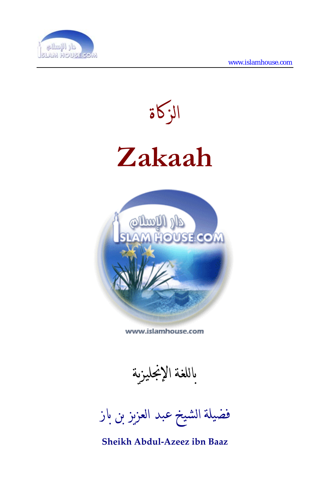



www.islamhouse.com

باللغة الإنجليزية

فضيلة الشيخ عبد العزيز بن باز

**Sheikh Abdul‐Azeez ibn Baaz**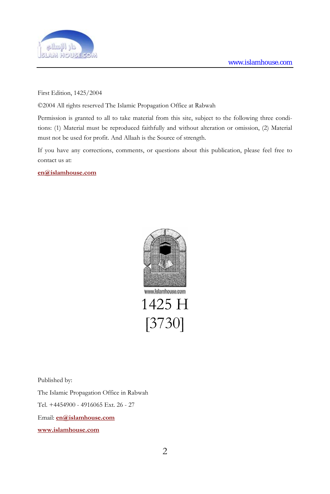

First Edition, 1425/2004

©2004 All rights reserved The Islamic Propagation Office at Rabwah

Permission is granted to all to take material from this site, subject to the following three conditions: (1) Material must be reproduced faithfully and without alteration or omission, (2) Material must not be used for profit. And Allaah is the Source of strength.

If you have any corrections, comments, or questions about this publication, please feel free to contact us at:

**[en@islamhouse.com](mailto:en@islamhouse.com)**



1425 H [3730]

Published by:

The Islamic Propagation Office in Rabwah

Tel. +4454900 - 4916065 Ext. 26 - 27

Email: **[en@islamhouse.com](mailto:en@islamhouse.com)**

**<www.islamhouse.com>**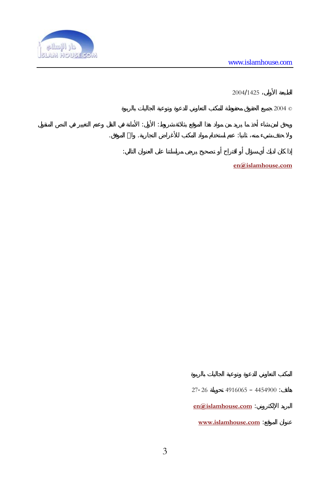

 $2004/1425$ 

 $2004$   $\heartsuit$ ويحق لمن شاء أخذ ما يريد من مواد هذا الموقع بثلاثة شروط: الأول: الأمانة في النقل وعدم التغيير في النص المنقول ولا حذف شيء منه، ثاني : عدم استخدام مواد المكتب للأغراض التجارية. واالله الموفق. إذا كان لديك أي سؤال أو اقتراح أو تصحيح يرجى مراسلتنا على العنوان التالي:

**[en@islamhouse](mailto:en@islamhouse.com) [c.](mailto:en@islamhouse.com) [om](mailto:en@islamhouse.com)**

 $27 - 26$  4916065 - 4454900 :

**[en@islamhouse.com](mailto:en@islamhouse.com)** 

<www.islamhouse.com> :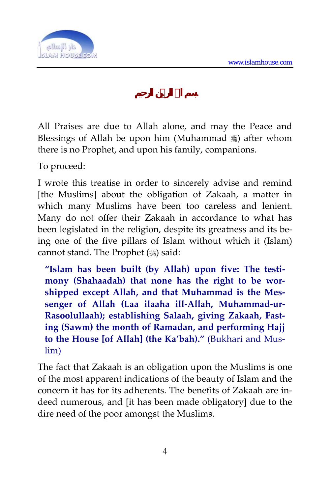

All Praises are due to Allah alone, and may the Peace and Blessings of Allah be upon him (Muhammad  $\frac{1}{20}$ ) after whom there is no Prophet, and upon his family, companions.

To proceed:

I wrote this treatise in order to sincerely advise and remind [the Muslims] about the obligation of Zakaah, a matter in which many Muslims have been too careless and lenient. Many do not offer their Zakaah in accordance to what has been legislated in the religion, despite its greatness and its being one of the five pillars of Islam without which it (Islam) cannot stand. The Prophet  $(\frac{1}{2})$  said:

**"Islam has been built (by Allah) upon five: The testi‐ mony (Shahaadah) that none has the right to be wor‐ shipped except Allah, and that Muhammad is the Mes‐ senger of Allah (Laa ilaaha ill‐Allah, Muhammad‐ur‐ Rasoolullaah); establishing Salaah, giving Zakaah, Fast‐ ing (Sawm) the month of Ramadan, and performing Hajj to the House [of Allah] (the Ka'bah)."** (Bukhari and Mus‐ lim)

The fact that Zakaah is an obligation upon the Muslims is one of the most apparent indications of the beauty of Islam and the concern it has for its adherents. The benefits of Zakaah are in‐ deed numerous, and [it has been made obligatory] due to the dire need of the poor amongst the Muslims.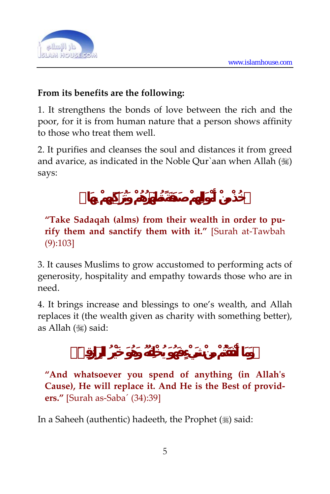

### **From its benefits are the following:**

1. It strengthens the bonds of love between the rich and the poor, for it is from human nature that a person shows affinity to those who treat them well.

2. It purifies and cleanses the soul and distances it from greed and avarice, as indicated in the Noble Our`aan when Allah  $(\mathcal{C})$ says:

### **"Take Sadaqah (alms) from their wealth in order to pu‐ rify them and sanctify them with it."** [Surah at‐Tawbah (9):103]

3. It causes Muslims to grow accustomed to performing acts of generosity, hospitality and empathy towards those who are in need.

4. It brings increase and blessings to one's wealth, and Allah replaces it (the wealth given as charity with something better), as Allah (, ) said:

**"And whatsoever you spend of anything (in Allahʹs Cause), He will replace it. And He is the Best of provid‐ ers."** [Surah as‐Saba´ (34):39]

In a Saheeh (authentic) hadeeth, the Prophet  $(\frac{1}{2})$  said: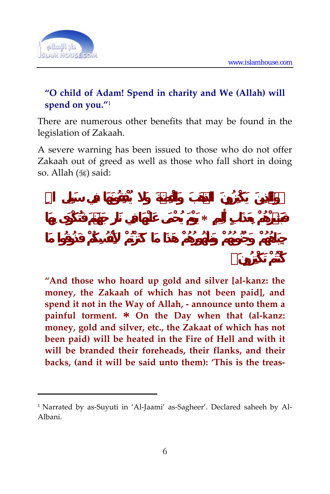

 $\overline{a}$ 

### **"O child of Adam! Spend in charity and We (Allah) will spend on you."**<sup>1</sup>

There are numerous other benefits that may be found in the legislation of Zakaah.

A severe warning has been issued to those who do not offer Zakaah out of greed as well as those who fall short in doing so. Allah (,) said:

**فَبَشِّرْهُمْ بِعَذَابٍ أَلِيمٍ \* يَوْمَ يُحْمَى عَلَيْهَا فِي نَارِ جَهَنمَ فَتُكْوَى بِهَا**

**"And those who hoard up gold and silver [al‐kanz: the money, the Zakaah of which has not been paid], and spend it not in the Way of Allah, ‐ announce unto them a painful torment. \* On the Day when that (al‐kanz: money, gold and silver, etc., the Zakaat of which has not been paid) will be heated in the Fire of Hell and with it will be branded their foreheads, their flanks, and their backs, (and it will be said unto them): 'This is the treas‐**

<sup>&</sup>lt;sup>1</sup> Narrated by as-Suyuti in 'Al-Jaami' as-Sagheer'. Declared saheeh by Al-Albani.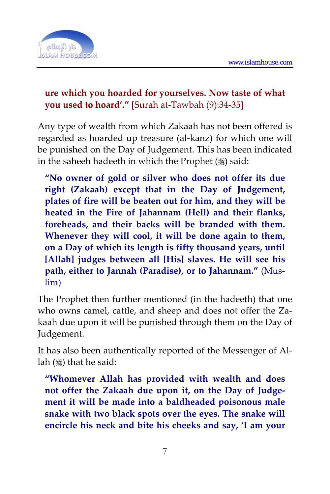

#### **ure which you hoarded for yourselves. Now taste of what you used to hoard'."** [Surah at‐Tawbah (9):34‐35]

Any type of wealth from which Zakaah has not been offered is regarded as hoarded up treasure (al‐kanz) for which one will be punished on the Day of Judgement. This has been indicated in the saheeh hadeeth in which the Prophet  $(*)$  said:

**"No owner of gold or silver who does not offer its due right (Zakaah) except that in the Day of Judgement, plates of fire will be beaten out for him, and they will be heated in the Fire of Jahannam (Hell) and their flanks, foreheads, and their backs will be branded with them. Whenever they will cool, it will be done again to them, on a Day of which its length is fifty thousand years, until [Allah] judges between all [His] slaves. He will see his path, either to Jannah (Paradise), or to Jahannam."** (Mus‐ lim)

The Prophet then further mentioned (in the hadeeth) that one who owns camel, cattle, and sheep and does not offer the Zakaah due upon it will be punished through them on the Day of Judgement.

It has also been authentically reported of the Messenger of Al‐ lah  $(\frac{1}{2})$  that he said:

**"Whomever Allah has provided with wealth and does not offer the Zakaah due upon it, on the Day of Judge‐ ment it will be made into a baldheaded poisonous male snake with two black spots over the eyes. The snake will encircle his neck and bite his cheeks and say, 'I am your**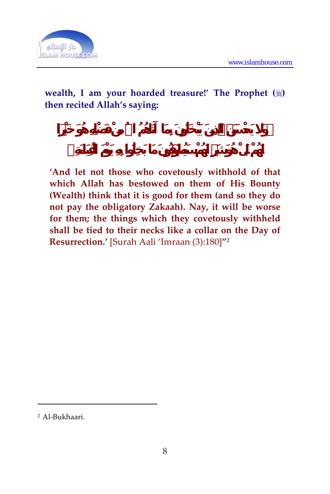

#### **wealth, I am your hoarded treasure!' The Prophet () then recited Allah's saying:**

**'And let not those who covetously withhold of that which Allah has bestowed on them of His Bounty (Wealth) think that it is good for them (and so they do not pay the obligatory Zakaah). Nay, it will be worse for them; the things which they covetously withheld shall be tied to their necks like a collar on the Day of Resurrection.'** [Surah Aali 'Imraan (3):180]**"**<sup>2</sup>

 $\overline{a}$ 

<sup>2</sup> Al‐Bukhaari.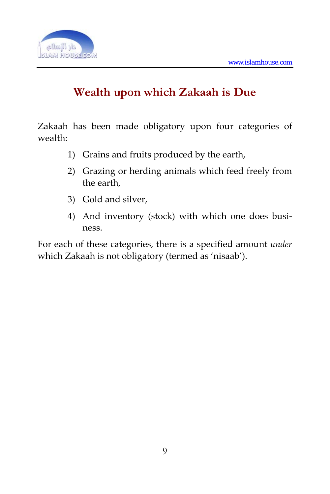

# **Wealth upon which Zakaah is Due**

Zakaah has been made obligatory upon four categories of wealth:

- 1) Grains and fruits produced by the earth,
- 2) Grazing or herding animals which feed freely from the earth,
- 3) Gold and silver,
- 4) And inventory (stock) with which one does business.

For each of these categories, there is a specified amount *under* which Zakaah is not obligatory (termed as 'nisaab').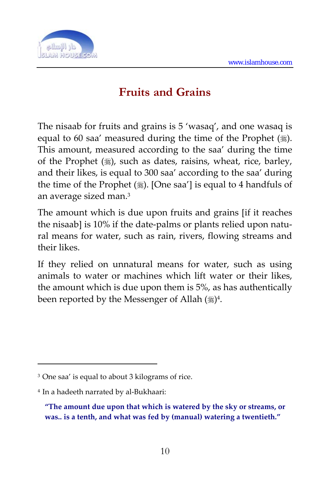

# **Fruits and Grains**

The nisaab for fruits and grains is 5 'wasaq', and one wasaq is equal to 60 saa' measured during the time of the Prophet  $(\frac{16}{2})$ . This amount, measured according to the saa' during the time of the Prophet  $(\frac{1}{2})$ , such as dates, raisins, wheat, rice, barley, and their likes, is equal to 300 saa' according to the saa' during the time of the Prophet  $(\frac{1}{2})$ . [One saa'] is equal to 4 handfuls of an average sized man.3

The amount which is due upon fruits and grains [if it reaches the nisaab] is 10% if the date-palms or plants relied upon natural means for water, such as rain, rivers, flowing streams and their likes.

If they relied on unnatural means for water, such as using animals to water or machines which lift water or their likes, the amount which is due upon them is 5%, as has authentically been reported by the Messenger of Allah  $(\frac{16}{3})^4$ .

 $\overline{a}$ 

<sup>3</sup> One saa' is equal to about 3 kilograms of rice.

<sup>4</sup> In a hadeeth narrated by al‐Bukhaari:

**<sup>&</sup>quot;The amount due upon that which is watered by the sky or streams, or was.. is a tenth, and what was fed by (manual) watering a twentieth."**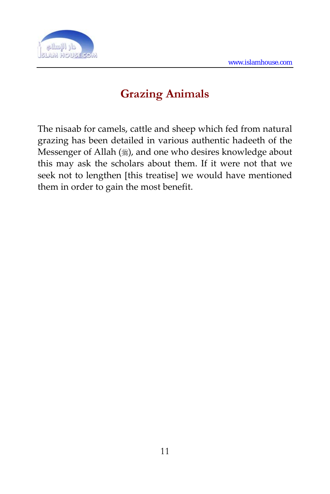

# **Grazing Animals**

The nisaab for camels, cattle and sheep which fed from natural grazing has been detailed in various authentic hadeeth of the Messenger of Allah (), and one who desires knowledge about this may ask the scholars about them. If it were not that we seek not to lengthen [this treatise] we would have mentioned them in order to gain the most benefit.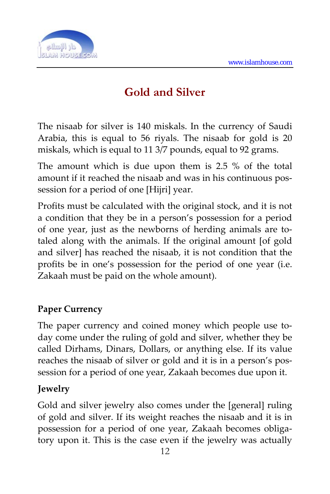

# **Gold and Silver**

The nisaab for silver is 140 miskals. In the currency of Saudi Arabia, this is equal to 56 riyals. The nisaab for gold is 20 miskals, which is equal to 11 3/7 pounds, equal to 92 grams.

The amount which is due upon them is 2.5 % of the total amount if it reached the nisaab and was in his continuous possession for a period of one [Hijri] year.

Profits must be calculated with the original stock, and it is not a condition that they be in a person's possession for a period of one year, just as the newborns of herding animals are to‐ taled along with the animals. If the original amount [of gold and silver] has reached the nisaab, it is not condition that the profits be in one's possession for the period of one year (i.e. Zakaah must be paid on the whole amount).

### **Paper Currency**

The paper currency and coined money which people use today come under the ruling of gold and silver, whether they be called Dirhams, Dinars, Dollars, or anything else. If its value reaches the nisaab of silver or gold and it is in a person's pos‐ session for a period of one year, Zakaah becomes due upon it.

### **Jewelry**

Gold and silver jewelry also comes under the [general] ruling of gold and silver. If its weight reaches the nisaab and it is in possession for a period of one year, Zakaah becomes obligatory upon it. This is the case even if the jewelry was actually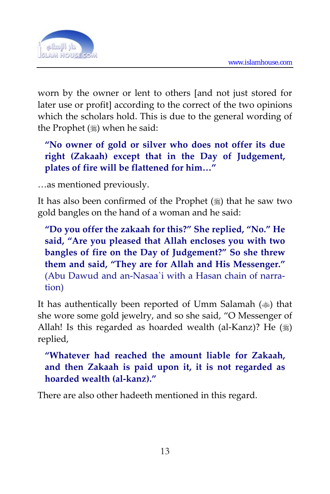

worn by the owner or lent to others [and not just stored for later use or profit] according to the correct of the two opinions which the scholars hold. This is due to the general wording of the Prophet (3) when he said:

**"No owner of gold or silver who does not offer its due right (Zakaah) except that in the Day of Judgement, plates of fire will be flattened for him…"**

…as mentioned previously.

It has also been confirmed of the Prophet  $(*)$  that he saw two gold bangles on the hand of a woman and he said:

**"Do you offer the zakaah for this?" She replied, "No." He said, "Are you pleased that Allah encloses you with two bangles of fire on the Day of Judgement?" So she threw them and said, "They are for Allah and His Messenger."** (Abu Dawud and an‐Nasaa`i with a Hasan chain of narra‐ tion)

It has authentically been reported of Umm Salamah ( $\gg$ ) that she wore some gold jewelry, and so she said, "O Messenger of Allah! Is this regarded as hoarded wealth (al-Kanz)? He  $(\frac{1}{2})$ replied,

**"Whatever had reached the amount liable for Zakaah, and then Zakaah is paid upon it, it is not regarded as hoarded wealth (al‐kanz)."**

There are also other hadeeth mentioned in this regard.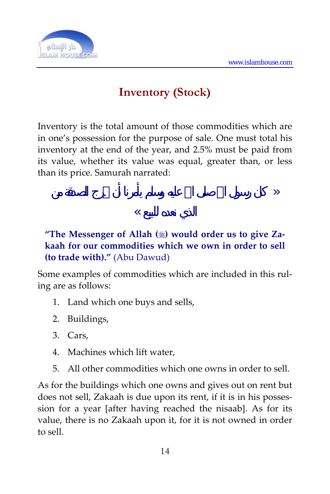

## **Inventory (Stock)**

Inventory is the total amount of those commodities which are in one's possession for the purpose of sale. One must total his inventory at the end of the year, and 2.5% must be paid from its value, whether its value was equal, greater than, or less than its price. Samurah narrated:

 $\langle \rangle$ 

### الذي نعده للبيع ››

### **"The Messenger of Allah () would order us to give Za‐ kaah for our commodities which we own in order to sell (to trade with)."** (Abu Dawud)

Some examples of commodities which are included in this ruling are as follows:

- 1. Land which one buys and sells,
- 2. Buildings,
- 3. Cars,
- 4. Machines which lift water,
- 5. All other commodities which one owns in order to sell.

As for the buildings which one owns and gives out on rent but does not sell, Zakaah is due upon its rent, if it is in his posses‐ sion for a year [after having reached the nisaab]. As for its value, there is no Zakaah upon it, for it is not owned in order to sell.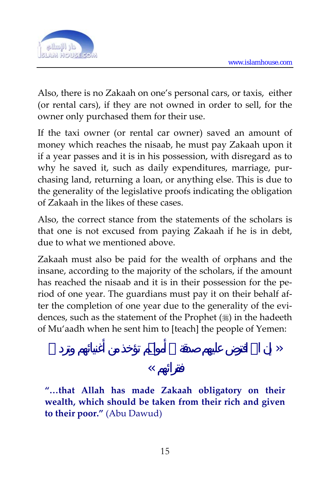

Also, there is no Zakaah on one's personal cars, or taxis, either (or rental cars), if they are not owned in order to sell, for the owner only purchased them for their use.

If the taxi owner (or rental car owner) saved an amount of money which reaches the nisaab, he must pay Zakaah upon it if a year passes and it is in his possession, with disregard as to why he saved it, such as daily expenditures, marriage, purchasing land, returning a loan, or anything else. This is due to the generality of the legislative proofs indicating the obligation of Zakaah in the likes of these cases.

Also, the correct stance from the statements of the scholars is that one is not excused from paying Zakaah if he is in debt, due to what we mentioned above.

Zakaah must also be paid for the wealth of orphans and the insane, according to the majority of the scholars, if the amount has reached the nisaab and it is in their possession for the period of one year. The guardians must pay it on their behalf af‐ ter the completion of one year due to the generality of the evidences, such as the statement of the Prophet  $(\frac{1}{2})$  in the hadeeth of Mu'aadh when he sent him to [teach] the people of Yemen:

 $\langle \rangle$ 

#### $\overline{\mathcal{U}}$

**"…that Allah has made Zakaah obligatory on their wealth, which should be taken from their rich and given to their poor."** (Abu Dawud)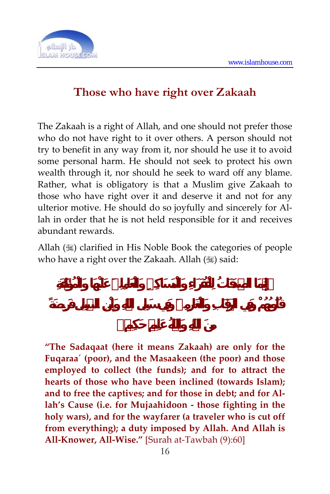

# **Those who have right over Zakaah**

The Zakaah is a right of Allah, and one should not prefer those who do not have right to it over others. A person should not try to benefit in any way from it, nor should he use it to avoid some personal harm. He should not seek to protect his own wealth through it, nor should he seek to ward off any blame. Rather, what is obligatory is that a Muslim give Zakaah to those who have right over it and deserve it and not for any ulterior motive. He should do so joyfully and sincerely for Al‐ lah in order that he is not held responsible for it and receives abundant rewards.

Allah (1) clarified in His Noble Book the categories of people who have a right over the Zakaah. Allah () said:

**"The Sadaqaat (here it means Zakaah) are only for the Fuqaraa´ (poor), and the Masaakeen (the poor) and those employed to collect (the funds); and for to attract the hearts of those who have been inclined (towards Islam); and to free the captives; and for those in debt; and for Al‐ lah's Cause (i.e. for Mujaahidoon ‐ those fighting in the holy wars), and for the wayfarer (a traveler who is cut off from everything); a duty imposed by Allah. And Allah is All‐Knower, All‐Wise."** [Surah at‐Tawbah (9):60]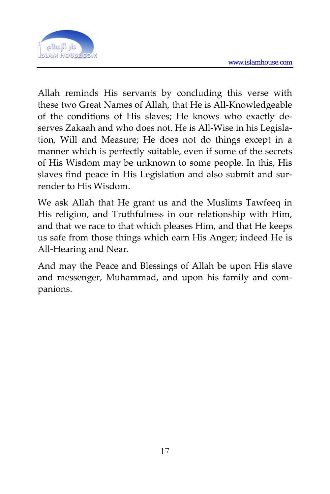

Allah reminds His servants by concluding this verse with these two Great Names of Allah, that He is All‐Knowledgeable of the conditions of His slaves; He knows who exactly de‐ serves Zakaah and who does not. He is All-Wise in his Legislation, Will and Measure; He does not do things except in a manner which is perfectly suitable, even if some of the secrets of His Wisdom may be unknown to some people. In this, His slaves find peace in His Legislation and also submit and surrender to His Wisdom.

We ask Allah that He grant us and the Muslims Tawfeeq in His religion, and Truthfulness in our relationship with Him, and that we race to that which pleases Him, and that He keeps us safe from those things which earn His Anger; indeed He is All‐Hearing and Near.

And may the Peace and Blessings of Allah be upon His slave and messenger, Muhammad, and upon his family and com‐ panions.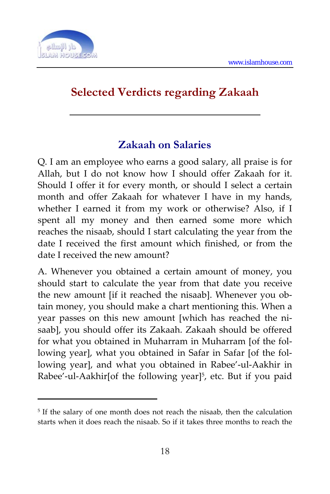

 $\overline{a}$ 

# **Selected Verdicts regarding Zakaah**

### **Zakaah on Salaries**

Q. I am an employee who earns a good salary, all praise is for Allah, but I do not know how I should offer Zakaah for it. Should I offer it for every month, or should I select a certain month and offer Zakaah for whatever I have in my hands, whether I earned it from my work or otherwise? Also, if [I](#page-17-0) spent all my money and then earned some more which reaches the nisaab, should I start calculating the year from the date I received the first amount which finished, or from the date I received the new amount?

A. Whenever you obtained a certain amount of money, you should start to calculate the year from that date you receive the new amount [if it reached the nisaab]. Whenever you obtain money, you should make a chart mentioning this. When a year passes on this new amount [which has reached the nisaab], you should offer its Zakaah. Zakaah should be offered for what you obtained in Muharram in Muharram [of the fol‐ lowing year], what you obtained in Safar in Safar [of the fol‐ lowing year], and what you obtained in Rabee'‐ul‐Aakhir in Rabee'-ul-Aakhir[of the following year]<sup>5</sup>, etc. But if you paid

<span id="page-17-0"></span><sup>&</sup>lt;sup>5</sup> If the salary of one month does not reach the nisaab, then the calculation starts when it does reach the nisaab. So if it takes three months to reach the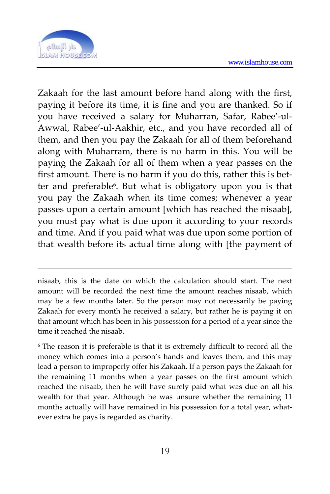

 $\overline{a}$ 

Zakaah for the last amount before hand along with the first, paying it before its time, it is fine and you are thanked. So if you have received a salary for Muharran, Safar, Rabee'‐ul‐ Awwal, Rabee'‐ul‐Aakhir, etc., and you have recorded all of them, and then you pay the Zakaah for all of them beforehand along with Muharram, there is no harm in this. You will be paying the Zakaah for all of them when a year passes on the first amount. There is no harm if you do this, rather this is better and preferable6. But what is obligatory upon you is that you pay the Zakaah when its time comes; whenever a year passes upon a certain amount [which has reached the nisaab], you must pay what is due upon it according to your records and time. And if you paid what was due upon some portion of that wealth before its actual time along with [the payment of

nisaab, this is the date on which the calculation should start. The next amount will be recorded the next time the amount reaches nisaab, which may be a few months later. So the person may not necessarily be paying Zakaah for every month he received a salary, but rather he is paying it on that amount which has been in his possession for a period of a year since the time it reached the nisaab.

<sup>6</sup> The reason it is preferable is that it is extremely difficult to record all the money which comes into a person's hands and leaves them, and this may lead a person to improperly offer his Zakaah. If a person pays the Zakaah for the remaining 11 months when a year passes on the first amount which reached the nisaab, then he will have surely paid what was due on all his wealth for that year. Although he was unsure whether the remaining 11 months actually will have remained in his possession for a total year, whatever extra he pays is regarded as charity.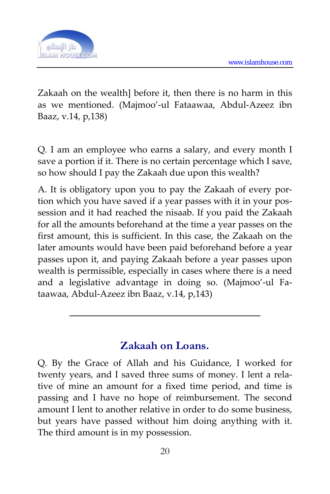

Zakaah on the wealth] before it, then there is no harm in this as we mentioned. (Majmoo'‐ul Fataawaa, Abdul‐Azeez ibn Baaz, v.14, p,138)

Q. I am an employee who earns a salary, and every month I save a portion if it. There is no certain percentage which I save, so how should I pay the Zakaah due upon this wealth?

A. It is obligatory upon you to pay the Zakaah of every por‐ tion which you have saved if a year passes with it in your possession and it had reached the nisaab. If you paid the Zakaah for all the amounts beforehand at the time a year passes on the first amount, this is sufficient. In this case, the Zakaah on the later amounts would have been paid beforehand before a year passes upon it, and paying Zakaah before a year passes upon wealth is permissible, especially in cases where there is a need and a legislative advantage in doing so. (Majmoo'‐ul Fa‐ taawaa, Abdul‐Azeez ibn Baaz, v.14, p,143)

### **Zakaah on Loans.**

Q. By the Grace of Allah and his Guidance, I worked for twenty years, and I saved three sums of money. I lent a relative of mine an amount for a fixed time period, and time is passing and I have no hope of reimbursement. The second amount I lent to another relative in order to do some business, but years have passed without him doing anything with it. The third amount is in my possession.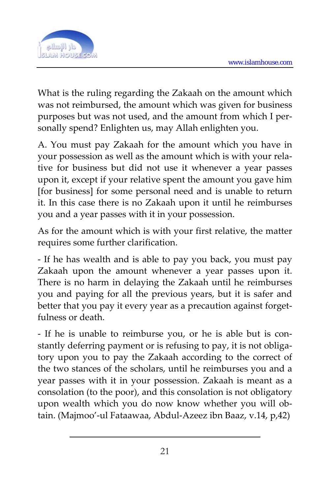

What is the ruling regarding the Zakaah on the amount which was not reimbursed, the amount which was given for business purposes but was not used, and the amount from which I personally spend? Enlighten us, may Allah enlighten you.

A. You must pay Zakaah for the amount which you have in your possession as well as the amount which is with your relative for business but did not use it whenever a year passes upon it, except if your relative spent the amount you gave him [for business] for some personal need and is unable to return it. In this case there is no Zakaah upon it until he reimburses you and a year passes with it in your possession.

As for the amount which is with your first relative, the matter requires some further clarification.

‐ If he has wealth and is able to pay you back, you must pay Zakaah upon the amount whenever a year passes upon it. There is no harm in delaying the Zakaah until he reimburses you and paying for all the previous years, but it is safer and better that you pay it every year as a precaution against forgetfulness or death.

‐ If he is unable to reimburse you, or he is able but is con‐ stantly deferring payment or is refusing to pay, it is not obliga‐ tory upon you to pay the Zakaah according to the correct of the two stances of the scholars, until he reimburses you and a year passes with it in your possession. Zakaah is meant as a consolation (to the poor), and this consolation is not obligatory upon wealth which you do now know whether you will ob‐ tain. (Majmoo'‐ul Fataawaa, Abdul‐Azeez ibn Baaz, v.14, p,42)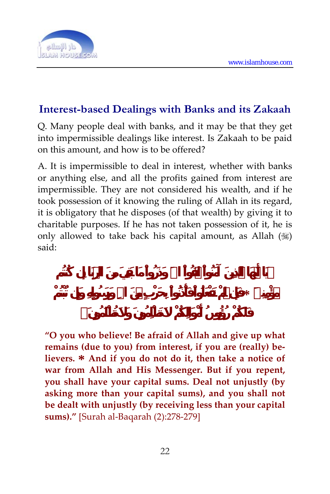

### **Interest-based Dealings with Banks and its Zakaah**

Q. Many people deal with banks, and it may be that they get into impermissible dealings like interest. Is Zakaah to be paid on this amount, and how is to be offered?

A. It is impermissible to deal in interest, whether with banks or anything else, and all the profits gained from interest are impermissible. They are not considered his wealth, and if he took possession of it knowing the ruling of Allah in its regard, it is obligatory that he disposes (of that wealth) by giving it to charitable purposes. If he has not taken possession of it, he is only allowed to take back his capital amount, as Allah  $(\mathbb{R})$ said:

**مؤْمِنِينَ \* فَإِن لَّمْ تَفْعَلُواْ فَأْذَنُواْ بِحَرْبٍ مِّنَ االلهِ وَرَسُولِهِ وَإِن تُبْتُمْ**

**"O you who believe! Be afraid of Allah and give up what remains (due to you) from interest, if you are (really) be‐ lievers. \* And if you do not do it, then take <sup>a</sup> notice of war from Allah and His Messenger. But if you repent, you shall have your capital sums. Deal not unjustly (by asking more than your capital sums), and you shall not be dealt with unjustly (by receiving less than your capital sums)."** [Surah al‐Baqarah (2):278‐279]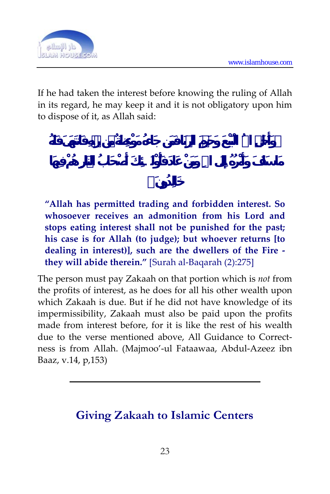

If he had taken the interest before knowing the ruling of Allah in its regard, he may keep it and it is not obligatory upon him to dispose of it, as Allah said:

**"Allah has permitted trading and forbidden interest. So whosoever receives an admonition from his Lord and stops eating interest shall not be punished for the past; his case is for Allah (to judge); but whoever returns [to dealing in interest)], such are the dwellers of the Fire ‐ they will abide therein."** [Surah al‐Baqarah (2):275]

The person must pay Zakaah on that portion which is *not* from the profits of interest, as he does for all his other wealth upon which Zakaah is due. But if he did not have knowledge of its impermissibility, Zakaah must also be paid upon the profits made from interest before, for it is like the rest of his wealth due to the verse mentioned above, All Guidance to Correctness is from Allah. (Majmoo'‐ul Fataawaa, Abdul‐Azeez ibn Baaz, v.14, p,153)

# **Giving Zakaah to Islamic Centers**